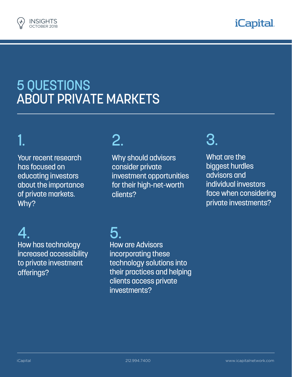



## 5 QUESTIONS ABOUT PRIVATE MARKETS

# 1.

Your recent research has focused on educating investors about the importance of private markets. Why?

### 2.

Why should advisors consider private investment opportunities for their high-net-worth clients?

### 3.

What are the biggest hurdles advisors and individual investors face when considering private investments?

4.

How has technology increased accessibility to private investment offerings?

## 5.

How are Advisors incorporating these technology solutions into their practices and helping clients access private investments?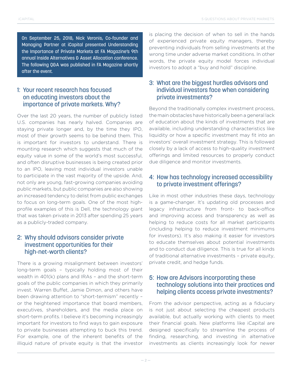On September 25, 2018, Nick Veronis, Co-founder and Managing Partner at iCapital presented Understanding the Importance of Private Markets at FA Magazine's 9th annual Inside Alternatives & Asset Allocation conference. The following Q&A was published in FA Magazine shortly after the event.

#### 1: Your recent research has focused on educating investors about the importance of private markets. Why?

Over the last 20 years, the number of publicly listed U.S. companies has nearly halved. Companies are staying private longer and, by the time they IPO, most of their growth seems to be behind them. This is important for investors to understand. There is mounting research which suggests that much of the equity value in some of the world's most successful, and often disruptive businesses is being created prior to an IPO, leaving most individual investors unable to participate in the vast majority of the upside. And, not only are young, fast-growing companies avoiding public markets, but public companies are also showing an increased tendency to delist from public exchanges to focus on long-term goals. One of the most highprofile examples of this is Dell, the technology giant that was taken private in 2013 after spending 25 years as a publicly-traded company.

### 2: Why should advisors consider private investment opportunities for their high-net-worth clients?

There is a growing misalignment between investors' long-term goals – typically holding most of their wealth in 401(k) plans and IRAs – and the short-term goals of the public companies in which they primarily invest. Warren Buffet, Jamie Dimon, and others have been drawing attention to "short-termism" recently – or the heightened importance that board members, executives, shareholders, and the media place on short-term profits. I believe it's becoming increasingly important for investors to find ways to gain exposure to private businesses attempting to buck this trend. For example, one of the inherent benefits of the illiquid nature of private equity is that the investor

is placing the decision of when to sell in the hands of experienced private equity managers, thereby preventing individuals from selling investments at the wrong time under adverse market conditions. In other words, the private equity model forces individual investors to adopt a "buy and hold" discipline.

### 3: What are the biggest hurdles advisors and individual investors face when considering private investments?

Beyond the traditionally complex investment process, the main obstacles have historically been a general lack of education about the kinds of investments that are available, including understanding characteristics like liquidity or how a specific investment may fit into an investors' overall investment strategy. This is followed closely by a lack of access to high-quality investment offerings and limited resources to properly conduct due diligence and monitor investments.

#### 4: How has technology increased accessibility to private investment offerings?

Like in most other industries these days, technology is a game-changer. It's updating old processes and legacy infrastructure from front- to back-office and improving access and transparency as well as helping to reduce costs for all market participants (including helping to reduce investment minimums for investors). It's also making it easier for investors to educate themselves about potential investments and to conduct due diligence. This is true for all kinds of traditional alternative investments – private equity, private credit, and hedge funds.

#### 5: How are Advisors incorporating these technology solutions into their practices and helping clients access private investments?

From the advisor perspective, acting as a fiduciary is not just about selecting the cheapest products available, but actually working with clients to meet their financial goals. New platforms like iCapital are designed specifically to streamline the process of finding, researching, and investing in alternative investments as clients increasingly look for newer